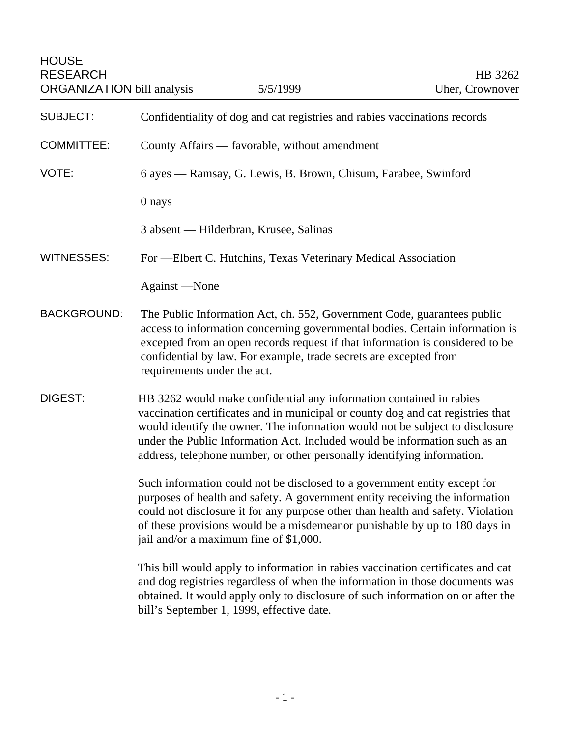| <b>SUBJECT:</b>    | Confidentiality of dog and cat registries and rabies vaccinations records                                                                                                                                                                                                                                                                                                                       |
|--------------------|-------------------------------------------------------------------------------------------------------------------------------------------------------------------------------------------------------------------------------------------------------------------------------------------------------------------------------------------------------------------------------------------------|
| <b>COMMITTEE:</b>  | County Affairs — favorable, without amendment                                                                                                                                                                                                                                                                                                                                                   |
| VOTE:              | 6 ayes — Ramsay, G. Lewis, B. Brown, Chisum, Farabee, Swinford                                                                                                                                                                                                                                                                                                                                  |
|                    | 0 nays                                                                                                                                                                                                                                                                                                                                                                                          |
|                    | 3 absent — Hilderbran, Krusee, Salinas                                                                                                                                                                                                                                                                                                                                                          |
| <b>WITNESSES:</b>  | For -Elbert C. Hutchins, Texas Veterinary Medical Association                                                                                                                                                                                                                                                                                                                                   |
|                    | Against -None                                                                                                                                                                                                                                                                                                                                                                                   |
| <b>BACKGROUND:</b> | The Public Information Act, ch. 552, Government Code, guarantees public<br>access to information concerning governmental bodies. Certain information is<br>excepted from an open records request if that information is considered to be<br>confidential by law. For example, trade secrets are excepted from<br>requirements under the act.                                                    |
| DIGEST:            | HB 3262 would make confidential any information contained in rabies<br>vaccination certificates and in municipal or county dog and cat registries that<br>would identify the owner. The information would not be subject to disclosure<br>under the Public Information Act. Included would be information such as an<br>address, telephone number, or other personally identifying information. |
|                    | Such information could not be disclosed to a government entity except for<br>purposes of health and safety. A government entity receiving the information<br>could not disclosure it for any purpose other than health and safety. Violation<br>of these provisions would be a misdemeanor punishable by up to 180 days in<br>jail and/or a maximum fine of \$1,000.                            |
|                    | This bill would apply to information in rabies vaccination certificates and cat<br>and dog registries regardless of when the information in those documents was<br>obtained. It would apply only to disclosure of such information on or after the<br>bill's September 1, 1999, effective date.                                                                                                 |